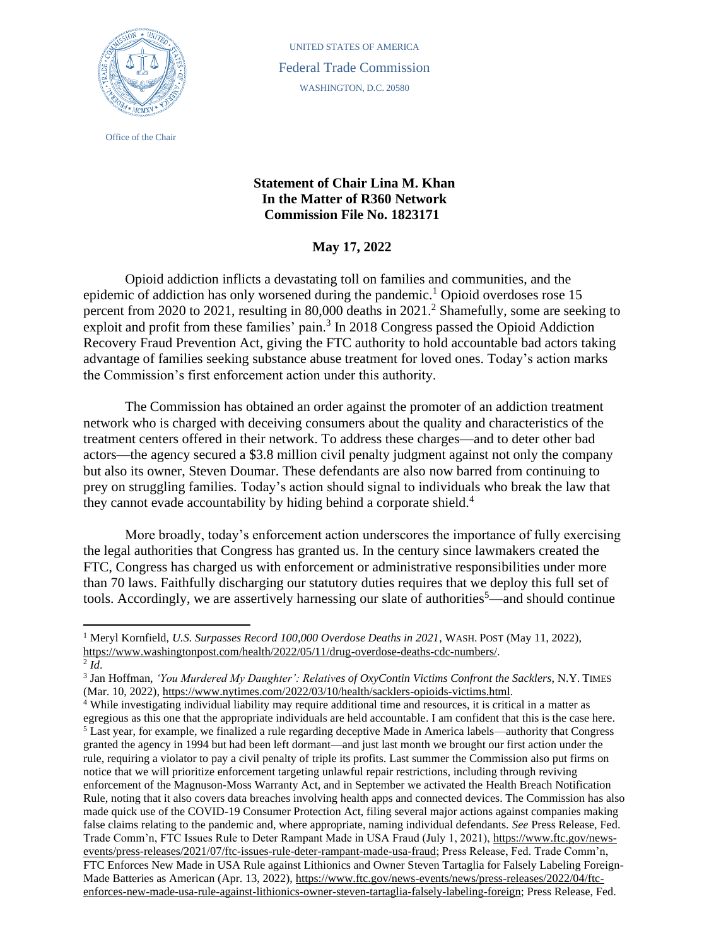

Office of the Chair

UNITED STATES OF AMERICA Federal Trade Commission WASHINGTON, D.C. 20580

## **Statement of Chair Lina M. Khan In the Matter of R360 Network Commission File No. 1823171**

**May 17, 2022** 

Opioid addiction inflicts a devastating toll on families and communities, and the epidemic of addiction has only worsened during the pandemic.<sup>1</sup> Opioid overdoses rose 15 percent from 2020 to 2021, resulting in 80,000 deaths in 2021.<sup>2</sup> Shamefully, some are seeking to exploit and profit from these families' pain.<sup>3</sup> In 2018 Congress passed the Opioid Addiction Recovery Fraud Prevention Act, giving the FTC authority to hold accountable bad actors taking advantage of families seeking substance abuse treatment for loved ones. Today's action marks the Commission's first enforcement action under this authority.

The Commission has obtained an order against the promoter of an addiction treatment network who is charged with deceiving consumers about the quality and characteristics of the treatment centers offered in their network. To address these charges—and to deter other bad actors—the agency secured a \$3.8 million civil penalty judgment against not only the company but also its owner, Steven Doumar. These defendants are also now barred from continuing to prey on struggling families. Today's action should signal to individuals who break the law that they cannot evade accountability by hiding behind a corporate shield.<sup>4</sup>

More broadly, today's enforcement action underscores the importance of fully exercising the legal authorities that Congress has granted us. In the century since lawmakers created the FTC, Congress has charged us with enforcement or administrative responsibilities under more than 70 laws. Faithfully discharging our statutory duties requires that we deploy this full set of tools. Accordingly, we are assertively harnessing our slate of authorities<sup>5</sup>—and should continue

<sup>1</sup> Meryl Kornfield, *U.S. Surpasses Record 100,000 Overdose Deaths in 2021*, WASH. POST (May 11, 2022), [https://www.washingtonpost.com/health/2022/05/11/drug-overdose-deaths-cdc-numbers/.](https://www.washingtonpost.com/health/2022/05/11/drug-overdose-deaths-cdc-numbers/)

<sup>2</sup> *Id*.

<sup>&</sup>lt;sup>3</sup> Jan Hoffman, *'You Murdered My Daughter': Relatives of OxyContin Victims Confront the Sacklers*, N.Y. TIMES (Mar. 10, 2022), [https://www.nytimes.com/2022/03/10/health/sacklers-opioids-victims.html.](https://www.nytimes.com/2022/03/10/health/sacklers-opioids-victims.html)

<sup>4</sup> While investigating individual liability may require additional time and resources, it is critical in a matter as egregious as this one that the appropriate individuals are held accountable. I am confident that this is the case here. <sup>5</sup> Last year, for example, we finalized a rule regarding deceptive Made in America labels—authority that Congress granted the agency in 1994 but had been left dormant—and just last month we brought our first action under the rule, requiring a violator to pay a civil penalty of triple its profits. Last summer the Commission also put firms on notice that we will prioritize enforcement targeting unlawful repair restrictions, including through reviving enforcement of the Magnuson-Moss Warranty Act, and in September we activated the Health Breach Notification Rule, noting that it also covers data breaches involving health apps and connected devices. The Commission has also made quick use of the COVID-19 Consumer Protection Act, filing several major actions against companies making false claims relating to the pandemic and, where appropriate, naming individual defendants. *See* Press Release, Fed. Trade Comm'n, FTC Issues Rule to Deter Rampant Made in USA Fraud (July 1, 2021), [https://www.ftc.gov/news](https://www.ftc.gov/news-events/press-releases/2021/07/ftc-issues-rule-deter-rampant-made-usa-fraud)[events/press-releases/2021/07/ftc-issues-rule-deter-rampant-made-usa-fraud;](https://www.ftc.gov/news-events/press-releases/2021/07/ftc-issues-rule-deter-rampant-made-usa-fraud) Press Release, Fed. Trade Comm'n, FTC Enforces New Made in USA Rule against Lithionics and Owner Steven Tartaglia for Falsely Labeling Foreign-Made Batteries as American (Apr. 13, 2022), [https://www.ftc.gov/news-events/news/press-releases/2022/04/ftc](https://www.ftc.gov/news-events/news/press-releases/2022/04/ftc-enforces-new-made-usa-rule-against-lithionics-owner-steven-tartaglia-falsely-labeling-foreign)[enforces-new-made-usa-rule-against-lithionics-owner-steven-tartaglia-falsely-labeling-foreign;](https://www.ftc.gov/news-events/news/press-releases/2022/04/ftc-enforces-new-made-usa-rule-against-lithionics-owner-steven-tartaglia-falsely-labeling-foreign) Press Release, Fed.